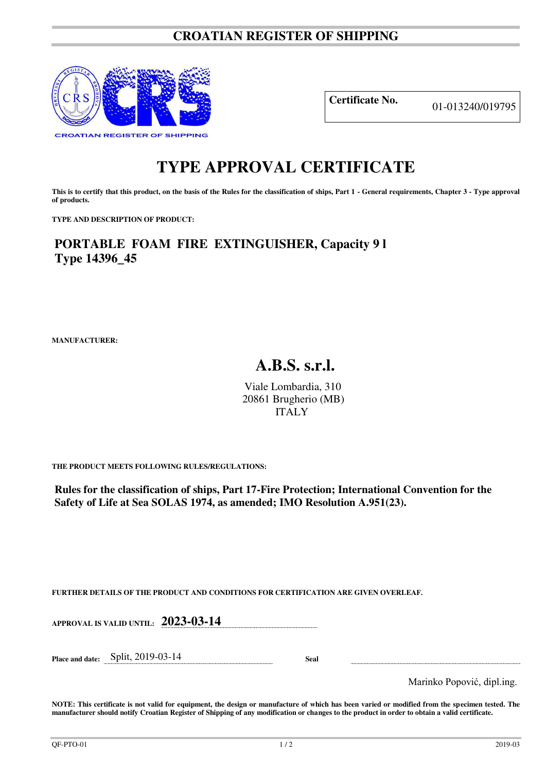## **CROATIAN REGISTER OF SHIPPING**



**Certificate No.** 01-013240/019795

## **TYPE APPROVAL CERTIFICATE**

This is to certify that this product, on the basis of the Rules for the classification of ships, Part 1 - General requirements, Chapter 3 - Type approval **of products.** 

**TYPE AND DESCRIPTION OF PRODUCT:** 

**PORTABLE FOAM FIRE EXTINGUISHER, Capacity 9 l Type 14396\_45**

**MANUFACTURER:**

## **A.B.S. s.r.l.**

Viale Lombardia, 310 20861 Brugherio (MB) ITALY

**THE PRODUCT MEETS FOLLOWING RULES/REGULATIONS:**

**Rules for the classification of ships, Part 17-Fire Protection; International Convention for the Safety of Life at Sea SOLAS 1974, as amended; IMO Resolution A.951(23).**

**FURTHER DETAILS OF THE PRODUCT AND CONDITIONS FOR CERTIFICATION ARE GIVEN OVERLEAF.**

| APPROVAL IS VALID UNTIL: $\,$ $2023$ -03-14 $\,$ |  |
|--------------------------------------------------|--|
|                                                  |  |
|                                                  |  |

**Place and date:** Split, 2019-03-14 **Seal** 

Marinko Popović, dipl.ing.

**NOTE: This certificate is not valid for equipment, the design or manufacture of which has been varied or modified from the specimen tested. The manufacturer should notify Croatian Register of Shipping of any modification or changes to the product in order to obtain a valid certificate.**